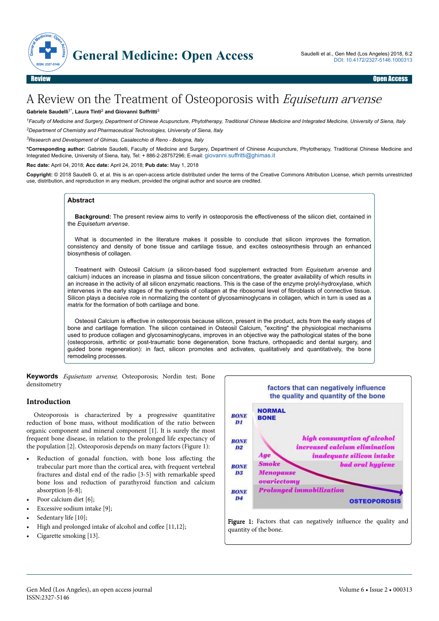

# A Review on the Treatment of Osteoporosis with Equisetum arvense

#### **Gabriele Saudelli**1\***, Laura Tinti**<sup>2</sup>  **and Giovanni Suffritti**<sup>3</sup>

*<sup>1</sup>Faculty of Medicine and Surgery, Department of Chinese Acupuncture, Phytotherapy, Traditional Chinese Medicine and Integrated Medicine, University of Siena, Italy <sup>2</sup>Department of Chemistry and Pharmaceutical Technologies, University of Siena, Italy*

*<sup>3</sup>Research and Development of Ghimas, Casalecchio di Reno - Bologna, Italy*

**\*Corresponding author:** Gabriele Saudelli, Faculty of Medicine and Surgery, Department of Chinese Acupuncture, Phytotherapy, Traditional Chinese Medicine and Integrated Medicine, University of Siena, Italy, Tel: + 886-2-28757296; E-mail: [giovanni.suffritti@ghimas.it](mailto:giovanni.suffritti@ghimas.it)

**Rec date:** April 04, 2018; **Acc date:** April 24, 2018; **Pub date:** May 1, 2018

**Copyright:** © 2018 Saudelli G, et al. this is an open-access article distributed under the terms of the Creative Commons Attribution License, which permits unrestricted use, distribution, and reproduction in any medium, provided the original author and source are credited.

#### **Abstract**

**Background:** The present review aims to verify in osteoporosis the effectiveness of the silicon diet, contained in the *Equisetum arvense*.

What is documented in the literature makes it possible to conclude that silicon improves the formation, consistency and density of bone tissue and cartilage tissue, and excites osteosynthesis through an enhanced biosynthesis of collagen.

Treatment with Osteosil Calcium (a silicon-based food supplement extracted from *Equisetum arvense* and calcium) induces an increase in plasma and tissue silicon concentrations, the greater availability of which results in an increase in the activity of all silicon enzymatic reactions. This is the case of the enzyme prolyl-hydroxylase, which intervenes in the early stages of the synthesis of collagen at the ribosomal level of fibroblasts of connective tissue. Silicon plays a decisive role in normalizing the content of glycosaminoglycans in collagen, which in turn is used as a matrix for the formation of both cartilage and bone.

Osteosil Calcium is effective in osteoporosis because silicon, present in the product, acts from the early stages of bone and cartilage formation. The silicon contained in Osteosil Calcium, "exciting" the physiological mechanisms used to produce collagen and glycosaminoglycans, improves in an objective way the pathological states of the bone (osteoporosis, arthritic or post-traumatic bone degeneration, bone fracture, orthopaedic and dental surgery, and guided bone regeneration): in fact, silicon promotes and activates, qualitatively and quantitatively, the bone remodeling processes.

**Keywords** Equisetum arvense; Osteoporosis; Nordin test; Bone densitometry

### **Introduction**

Osteoporosis is characterized by a progressive quantitative reduction of bone mass, without modification of the ratio between organic component and mineral component [1]. It is surely the most frequent bone disease, in relation to the prolonged life expectancy of the population [2]. Osteoporosis depends on many factors (Figure 1):

- Reduction of gonadal function, with bone loss affecting the trabecular part more than the cortical area, with frequent vertebral fractures and distal end of the radio [3-5] with remarkable speed bone loss and reduction of parathyroid function and calcium absorption [6-8];
- Poor calcium diet [6]:
- Excessive sodium intake [9];
- Sedentary life [10];
- High and prolonged intake of alcohol and coffee  $[11,12]$ ;
- Cigarette smoking [13].

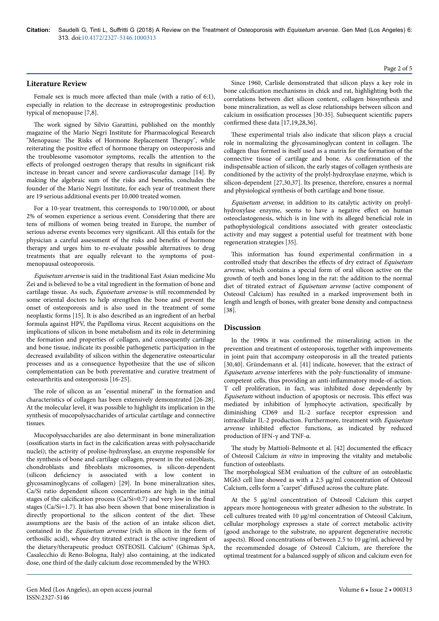## **Literature Review**

Female sex is much more affected than male (with a ratio of 6:1), especially in relation to the decrease in estroprogestinic production typical of menopause [7,8].

The work signed by Silvio Garattini, published on the monthly magazine of the Mario Negri Institute for Pharmacological Research "Menopause: The Risks of Hormone Replacement Therapy", while reiterating the positive effect of hormone therapy on osteoporosis and the troublesome vasomotor symptoms, recalls the attention to the effects of prolonged oestrogen therapy that results in significant risk increase in breast cancer and severe cardiovascular damage [14]. By making the algebraic sum of the risks and benefits, concludes the founder of the Mario Negri Institute, for each year of treatment there are 19 serious additional events per 10.000 treated women.

For a 10-year treatment, this corresponds to 190/10.000, or about 2% of women experience a serious event. Considering that there are tens of millions of women being treated in Europe, the number of serious adverse events becomes very significant. All this entails for the physician a careful assessment of the risks and benefits of hormone therapy and urges him to re-evaluate possible alternatives to drug treatments that are equally relevant to the symptoms of postmenopausal osteoporosis.

Equisetum arvense is said in the traditional East Asian medicine Mu Zei and is believed to be a vital ingredient in the formation of bone and cartilage tissue. As such, Equisetum arvense is still recommended by some oriental doctors to help strengthen the bone and prevent the onset of osteoporosis and is also used in the treatment of some neoplastic forms [15]. It is also described as an ingredient of an herbal formula against HPV, the Papilloma virus. Recent acquisitions on the implications of silicon in bone metabolism and its role in determining the formation and properties of collagen, and consequently cartilage and bone tissue, indicate its possible pathogenetic participation in the decreased availability of silicon within the degenerative osteoarticular processes and as a consequence hypothesize that the use of silicon complementation can be both preventative and curative treatment of osteoarthritis and osteoporosis [16-25].

The role of silicon as an "essential mineral" in the formation and characteristics of collagen has been extensively demonstrated [26-28]. At the molecular level, it was possible to highlight its implication in the synthesis of mucopolysaccharides of articular cartilage and connective tissues.

Mucopolysaccharides are also determinant in bone mineralization ossification starts in fact in the calcification areas with polysaccharide nuclei); the activity of proline-hydroxylase, an enzyme responsible for the synthesis of bone and cartilage collagen, present in the osteoblasts, chondroblasts and fibroblasts microsomes, is silicon-dependent (silicon deficiency is associated with a low content in glycosaminoglycans of collagen) [29]. In bone mineralization sites, Ca/Si ratio dependent silicon concentrations are high in the initial stages of the calcification process (Ca/Si=0.7) and very low in the final stages (Ca/Si=1.7). It has also been shown that bone mineralization is directly proportional to the silicon content of the diet. Нese assumptions are the basis of the action of an intake silicon diet, contained in the Equisetum arvense (rich in silicon in the form of orthosilic acid), whose dry titrated extract is the active ingredient of the dietary/therapeutic product OSTEOSIL Calcium® (Ghimas SpA, Casalecchio di Reno-Bologna, Italy) also containing, at the indicated dose, one third of the daily calcium dose recommended by the WHO.

Since 1960, Carlisle demonstrated that silicon plays a key role in bone calcification mechanisms in chick and rat, highlighting both the correlations between diet silicon content, collagen biosynthesis and bone mineralization, as well as close relationships between silicon and calcium in ossification processes [30-35]. Subsequent scientific papers confirmed these data [17,19,28,36].

These experimental trials also indicate that silicon plays a crucial role in normalizing the glycosaminoglycan content in collagen. Нe collagen thus formed is itself used as a matrix for the formation of the connective tissue of cartilage and bone. As confirmation of the indispensable action of silicon, the early stages of collagen synthesis are conditioned by the activity of the prolyl-hydroxylase enzyme, which is silicon-dependent [27,30,37]. Its presence, therefore, ensures a normal and physiological synthesis of both cartilage and bone tissue.

Equisetum arvense, in addition to its catalytic activity on prolylhydroxylase enzyme, seems to have a negative effect on human osteoclastogenesis, which is in line with its alleged beneficial role in pathophysiological conditions associated with greater osteoclastic activity and may suggest a potential useful for treatment with bone regeneration strategies [35].

This information has found experimental confirmation in a controlled study that describes the effects of dry extract of Equisetum arvense, which contains a special form of oral silicon active on the growth of teeth and bones long in the rat: the addition to the normal diet of titrated extract of Equisetum arvense (active component of Osteosil Calcium) has resulted in a marked improvement both in length and length of bones, with greater bone density and compactness [38].

## **Discussion**

In the 1990s it was confirmed the mineralizing action in the prevention and treatment of osteoporosis, together with improvements in joint pain that accompany osteoporosis in all the treated patients [30,40]. Gründemann et al. [41] indicate, however, that the extract of Equisetum arvense interferes with the poly-functionality of immunecompetent cells, thus providing an anti-inflammatory mode-of-action. T cell proliferation, in fact, was inhibited dose dependently by Equisetum without induction of apoptosis or necrosis. This effect was mediated by inhibition of lymphocyte activation, specifically by diminishing CD69 and IL-2 surface receptor expression and intracellular IL-2 production. Furthermore, treatment with Equisetum arvense inhibited effector functions, as indicated by reduced production of IFN-γ and TNF-α.

The study by Mattioli-Belmonte et al. [42] documented the efficacy of Osteosil Calcium in vitro in improving the vitality and metabolic function of osteoblasts.

The morphological SEM evaluation of the culture of an osteoblastic MG63 cell line showed as with a 2.5 μg/ml concentration of Osteosil Calcium, cells form a "carpet" diffused across the culture plate.

At the 5 μg/ml concentration of Osteosil Calcium this carpet appears more homogeneous with greater adhesion to the substrate. In cell cultures treated with 10 μg/ml concentration of Osteosil Calcium, cellular morphology expresses a state of correct metabolic activity (good anchorage to the substrate, no apparent degenerative necrotic aspects). Blood concentrations of between 2.5 to 10 μg/ml, achieved by the recommended dosage of Osteosil Calcium, are therefore the optimal treatment for a balanced supply of silicon and calcium even for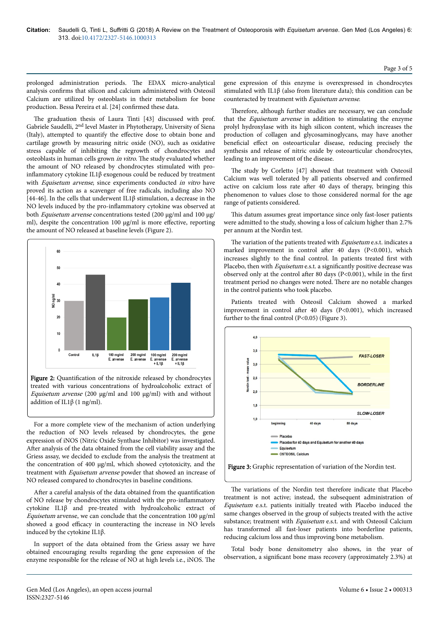prolonged administration periods. Нe EDAX micro-analytical analysis confirms that silicon and calcium administered with Osteosil Calcium are utilized by osteoblasts in their metabolism for bone production. Bessa Pereira et al. [24] confirmed these data.

The graduation thesis of Laura Tinti [43] discussed with prof. Gabriele Saudelli, 2nd level Master in Phytotherapy, University of Siena (Italy), attempted to quantify the effective dose to obtain bone and cartilage growth by measuring nitric oxide (NO), such as oxidative stress capable of inhibiting the regrowth of chondrocytes and osteoblasts in human cells grown in vitro. Нe study evaluated whether the amount of NO released by chondrocytes stimulated with proinflammatory cytokine IL1 $\beta$  exogenous could be reduced by treatment with Equisetum arvense, since experiments conducted in vitro have proved its action as a scavenger of free radicals, including also NO [44-46]. In the cells that underwent IL1β stimulation, a decrease in the NO levels induced by the pro-inflammatory cytokine was observed at both Equisetum arvense concentrations tested (200 μg/ml and 100 μg/ ml), despite the concentration 100 μg/ml is more effective, reporting the amount of NO released at baseline levels (Figure 2).



Figure 2: Quantification of the nitroxide released by chondrocytes treated with various concentrations of hydroalcoholic extract of Equisetum arvense (200 μg/ml and 100 μg/ml) with and without addition of IL1β (1 ng/ml).

For a more complete view of the mechanism of action underlying the reduction of NO levels released by chondrocytes, the gene expression of iNOS (Nitric Oxide Synthase Inhibitor) was investigated. After analysis of the data obtained from the cell viability assay and the Griess assay, we decided to exclude from the analysis the treatment at the concentration of 400 μg/ml, which showed cytotoxicity, and the treatment with Equisetum arvense powder that showed an increase of NO released compared to chondrocytes in baseline conditions.

After a careful analysis of the data obtained from the quantification of NO release by chondrocytes stimulated with the pro-inflammator\ cytokine IL1β and pre-treated with hydroalcoholic extract of Equisetum arvense, we can conclude that the concentration 100 μg/ml showed a good efficacy in counteracting the increase in NO levels induced by the cytokine IL1β.

In support of the data obtained from the Griess assay we have obtained encouraging results regarding the gene expression of the enzyme responsible for the release of NO at high levels i.e., iNOS. Нe

gene expression of this enzyme is overexpressed in chondrocytes stimulated with IL1β (also from literature data); this condition can be counteracted by treatment with Equisetum arvense.

Нerefore, although further studies are necessary, we can conclude that the Equisetum arvense in addition to stimulating the enzyme prolyl hydroxylase with its high silicon content, which increases the production of collagen and glycosaminoglycans, may have another beneficial effect on osteoarticular disease, reducing precisely the synthesis and release of nitric oxide by osteoarticular chondrocytes, leading to an improvement of the disease.

The study by Corletto [47] showed that treatment with Osteosil Calcium was well tolerated by all patients observed and confirmed active on calcium loss rate after 40 days of therapy, bringing this phenomenon to values close to those considered normal for the age range of patients considered.

This datum assumes great importance since only fast-loser patients were admitted to the study, showing a loss of calcium higher than 2.7% per annum at the Nordin test.

The variation of the patients treated with Equisetum e.s.t. indicates a marked improvement in control after 40 days (P<0.001), which increases slightly to the final control. In patients treated first with Placebo, then with *Equisetum* e.s.t. a significantly positive decrease was observed only at the control after 80 days (P<0.001), while in the first treatment period no changes were noted. Нere are no notable changes in the control patients who took placebo.

Patients treated with Osteosil Calcium showed a marked improvement in control after 40 days (P<0.001), which increased further to the final control (P<0.05) (Figure 3).



The variations of the Nordin test therefore indicate that Placebo treatment is not active; instead, the subsequent administration of Equisetum e.s.t. patients initially treated with Placebo induced the same changes observed in the group of subjects treated with the active substance; treatment with *Equisetum* e.s.t. and with Osteosil Calcium has transformed all fast-loser patients into borderline patients, reducing calcium loss and thus improving bone metabolism.

Total body bone densitometry also shows, in the year of observation, a significant bone mass recovery (approximately 2.3%) at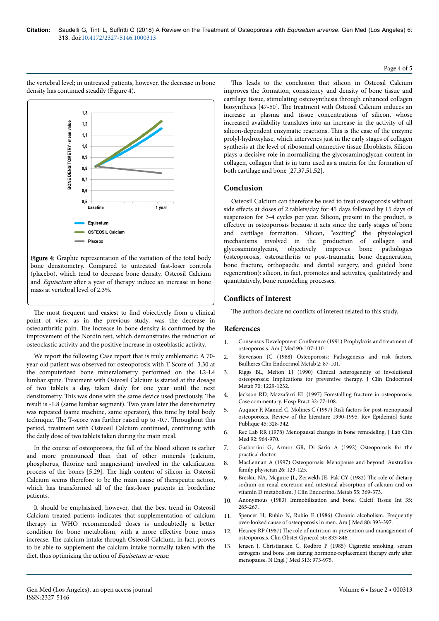#### Page 4 of 5

the vertebral level; in untreated patients, however, the decrease in bone density has continued steadily (Figure 4).



Figure 4: Graphic representation of the variation of the total body bone densitometry. Compared to untreated fast-loser controls (placebo), which tend to decrease bone density, Osteosil Calcium and Equisetum after a year of therapy induce an increase in bone mass at vertebral level of 2.3%.

The most frequent and easiest to find objectively from a clinical point of view, as in the previous study, was the decrease in osteoarthritic pain. Нe increase in bone density is confirmed by the improvement of the Nordin test, which demonstrates the reduction of osteoclastic activity and the positive increase in osteoblastic activity.

We report the following Case report that is truly emblematic: A 70 year-old patient was observed for osteoporosis with T-Score of -3.30 at the computerized bone mineralometry performed on the L2-L4 lumbar spine. Treatment with Osteosil Calcium is started at the dosage of two tablets a day, taken daily for one year until the next densitometry. This was done with the same device used previously. The result is -1.8 (same lumbar segment). Two years later the densitometry was repeated (same machine, same operator), this time by total body technique. Нe T-score was further raised up to -0.7. Нroughout this period, treatment with Osteosil Calcium continued, continuing with the daily dose of two tablets taken during the main meal.

In the course of osteoporosis, the fall of the blood silicon is earlier and more pronounced than that of other minerals (calcium, phosphorus, fluorine and magnesium) involved in the calcification process of the bones [5,29]. Нe high content of silicon in Osteosil Calcium seems therefore to be the main cause of therapeutic action, which has transformed all of the fast-loser patients in borderline patients.

It should be emphasized, however, that the best trend in Osteosil Calcium treated patients indicates that supplementation of calcium therapy in WHO recommended doses is undoubtedly a better condition for bone metabolism, with a more effective bone mass increase. Нe calcium intake through Osteosil Calcium, in fact, proves to be able to supplement the calcium intake normally taken with the diet, thus optimizing the action of Equisetum arvense.

This leads to the conclusion that silicon in Osteosil Calcium improves the formation, consistency and density of bone tissue and cartilage tissue, stimulating osteosynthesis through enhanced collagen biosynthesis [47-50]. Нe treatment with Osteosil Calcium induces an increase in plasma and tissue concentrations of silicon, whose increased availability translates into an increase in the activity of all silicon-dependent enzymatic reactions. Нis is the case of the enzyme prolyl-hydroxylase, which intervenes just in the early stages of collagen synthesis at the level of ribosomal connective tissue fibroblasts. Silicon plays a decisive role in normalizing the glycosaminoglycan content in collagen, collagen that is in turn used as a matrix for the formation of both cartilage and bone [27,37,51,52].

# **Conclusion**

Osteosil Calcium can therefore be used to treat osteoporosis without side effects at doses of 2 tablets/day for 45 days followed by 15 days of suspension for 3-4 cycles per year. Silicon, present in the product, is effective in osteoporosis because it acts since the early stages of bone and cartilage formation. Silicon, "exciting" the physiological mechanisms involved in the production of collagen and glycosaminoglycans, objectively improves bone pathologies (osteoporosis, osteoarthritis or post-traumatic bone degeneration, bone fracture, orthopaedic and dental surgery, and guided bone regeneration): silicon, in fact, promotes and activates, qualitatively and quantitatively, bone remodeling processes.

# **Conflicts of Interest**

The authors declare no conflicts of interest related to this study.

# **References**

- 1. [Consensus Development Conference \(1991\) Prophylaxis and treatment of](https://doi.org/10.1016/0002-9343(91)90512-V) [osteoporosis. Am J Med 90: 107-110.](https://doi.org/10.1016/0002-9343(91)90512-V)
- 2. Stevenson JC (1988) Osteoporosis: Pathogenesis and risk factors. Baillieres Clin Endocrinol Metab 2: 87-101.
- 3. [Riggs BL, Melton LJ \(1990\) Clinical heterogeneity of involutional](https://doi.org/10.1210/jcem-70-5-1229) [osteoporosis: Implications for preventive therapy. J Clin Endocrinol](https://doi.org/10.1210/jcem-70-5-1229) [Metab 70: 1229-1232.](https://doi.org/10.1210/jcem-70-5-1229)
- [Jackson RD, Mazzaferri EL \(1997\) Forestalling fracture in osteoporosis:](https://doi.org/10.1080/21548331.1997.11443424) [Case commentary. Hosp Pract 32: 77-108.](https://doi.org/10.1080/21548331.1997.11443424)
- 5. Auquier P, Manuel C, Molines C (1997) Risk factors for post-menopausal osteoporosis. Review of the literature 1990-1995. Rev Epidemiol Sante Publique 45: 328-342.
- 6. Rec Lab RR (1978) Menopausal changes in bone remodeling. J Lab Clin Med 92: 964-970.
- 7. Gasbarrini G, Armor GR, Di Sario A (1992) Osteoporosis for the practical doctor.
- 8. MacLennan A (1997) Osteoporosis: Menopause and beyond. Australian family physician 26: 123-125.
- 9. Breslau NA, Mcguire JL, Zerwekh JE, Pak CY (1982) The role of dietary sodium on renal excretion and intestinal absorption of calcium and on vitamin D metabolism. J Clin Endocrinol Metab 55: 369-373.
- 10. Anonymous (1983) Immobilization and bone. Calcif Tissue Int 35: 265-267.
- 11. Spencer H, Rubio N, Rubio E (1986) Chronic alcoholism. Frequently over-looked cause of osteoporosis in men. Am J Med 80: 393-397.
- 12. Heaney RP (1987) The role of nutrition in prevention and management of osteoporosis. Clin Obstet Gynecol 50: 833-846.
- 13. [Jensen J, Christiansen C, Rødbro P \(1985\) Cigarette smoking, serum](https://dx.doi.org/10.1056/NEJM198510173131602) [estrogens and bone loss during hormone-replacement therapy early](https://dx.doi.org/10.1056/NEJM198510173131602) after [menopause. N Engl J Med 313: 973-975.](https://dx.doi.org/10.1056/NEJM198510173131602)